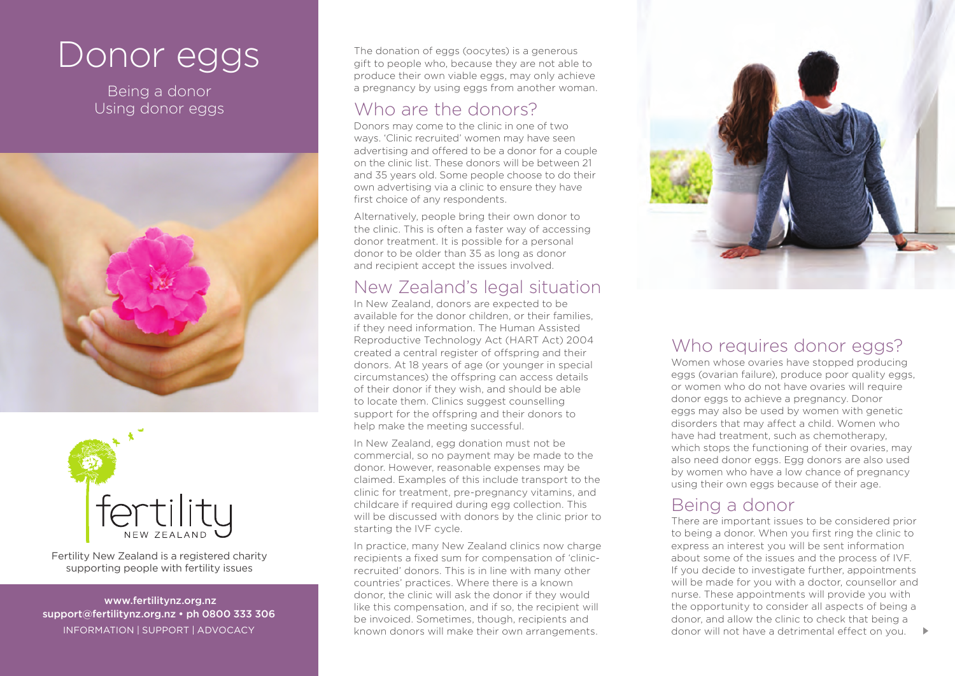# Donor eggs

Being a donor Using donor eggs





Fertility New Zealand is a registered charity supporting people with fertility issues

 www.fertilitynz.org.nz support@fertilitynz.org.nz • ph 0800 333 306 inf ormation | support | advocacy

The donation of eggs (oocytes) is a generous gift to people who, because they are not able to produce their own viable eggs, may only achieve a pregnancy by using eggs from another woman.

## Who are the donors?

Donors may come to the clinic in one of two ways. 'Clinic recruited' women may have seen advertising and offered to be a donor for a couple on the clinic list. These donors will be between 21 and 35 years old. Some people choose to do their own advertising via a clinic to ensure they have first choice of any respondents.

Alternatively, people bring their own donor to the clinic. This is often a faster way of accessing donor treatment. It is possible for a personal donor to be older than 35 as long as donor and recipient accept the issues involved.

## New Zealand's legal situation

In New Zealand, donors are expected to be available for the donor children, or their families if they need information. The Human Assisted Reproductive Technology Act (HART Act) 2004 created a central register of offspring and their donors. At 18 years of age (or younger in special circumstances) the offspring can access details of their donor if they wish, and should be able to locate them. Clinics suggest counselling support for the offspring and their donors to help make the meeting successful.

In New Zealand, egg donation must not be commercial, so no payment may be made to the donor. However, reasonable expenses may be claimed. Examples of this include transport to the clinic for treatment, pre-pregnancy vitamins, and childcare if required during egg collection. This will be discussed with donors by the clinic prior to starting the IVF cycle.

In practice, many New Zealand clinics now charge recipients a fixed sum for compensation of 'clinicrecruited' donors. This is in line with many other countries' practices. Where there is a known donor, the clinic will ask the donor if they would like this compensation, and if so, the recipient will be invoiced. Sometimes, though, recipients and known donors will make their own arrangements.



## Who requires donor eggs?

Women whose ovaries have stopped producing eggs (ovarian failure), produce poor quality eggs, or women who do not have ovaries will require donor eggs to achieve a pregnancy. Donor eggs may also be used by women with genetic disorders that may affect a child. Women who have had treatment, such as chemotherapy, which stops the functioning of their ovaries, may also need donor eggs. Egg donors are also used by women who have a low chance of pregnancy using their own eggs because of their age.

## Being a donor

There are important issues to be considered prior to being a donor. When you first ring the clinic to express an interest you will be sent information about some of the issues and the process of IVF. If you decide to investigate further, appointments will be made for you with a doctor, counsellor and nurse. These appointments will provide you with the opportunity to consider all aspects of being a donor, and allow the clinic to check that being a donor will not have a detrimental effect on you.